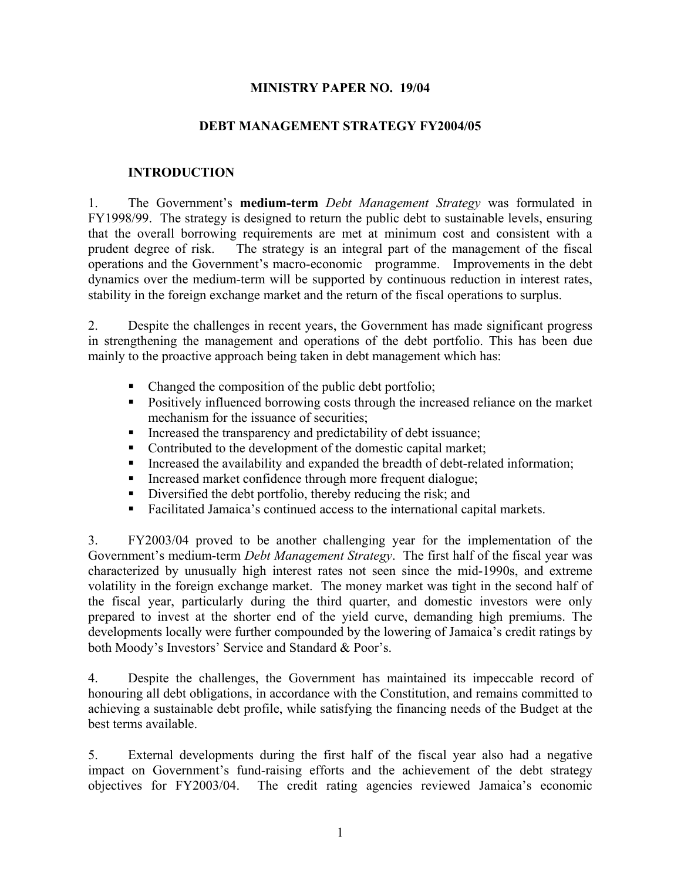#### **MINISTRY PAPER NO. 19/04**

#### **DEBT MANAGEMENT STRATEGY FY2004/05**

#### **INTRODUCTION**

1. The Government's **medium-term** *Debt Management Strategy* was formulated in FY1998/99. The strategy is designed to return the public debt to sustainable levels, ensuring that the overall borrowing requirements are met at minimum cost and consistent with a prudent degree of risk. The strategy is an integral part of the management of the fiscal operations and the Government's macro-economic programme. Improvements in the debt dynamics over the medium-term will be supported by continuous reduction in interest rates, stability in the foreign exchange market and the return of the fiscal operations to surplus.

2. Despite the challenges in recent years, the Government has made significant progress in strengthening the management and operations of the debt portfolio. This has been due mainly to the proactive approach being taken in debt management which has:

- Changed the composition of the public debt portfolio;
- **Positively influenced borrowing costs through the increased reliance on the market** mechanism for the issuance of securities;
- Increased the transparency and predictability of debt issuance;
- Contributed to the development of the domestic capital market;
- Increased the availability and expanded the breadth of debt-related information;
- Increased market confidence through more frequent dialogue;
- Diversified the debt portfolio, thereby reducing the risk; and
- Facilitated Jamaica's continued access to the international capital markets.

3. FY2003/04 proved to be another challenging year for the implementation of the Government's medium-term *Debt Management Strategy*. The first half of the fiscal year was characterized by unusually high interest rates not seen since the mid-1990s, and extreme volatility in the foreign exchange market. The money market was tight in the second half of the fiscal year, particularly during the third quarter, and domestic investors were only prepared to invest at the shorter end of the yield curve, demanding high premiums. The developments locally were further compounded by the lowering of Jamaica's credit ratings by both Moody's Investors' Service and Standard & Poor's.

4. Despite the challenges, the Government has maintained its impeccable record of honouring all debt obligations, in accordance with the Constitution, and remains committed to achieving a sustainable debt profile, while satisfying the financing needs of the Budget at the best terms available.

5. External developments during the first half of the fiscal year also had a negative impact on Government's fund-raising efforts and the achievement of the debt strategy objectives for FY2003/04. The credit rating agencies reviewed Jamaica's economic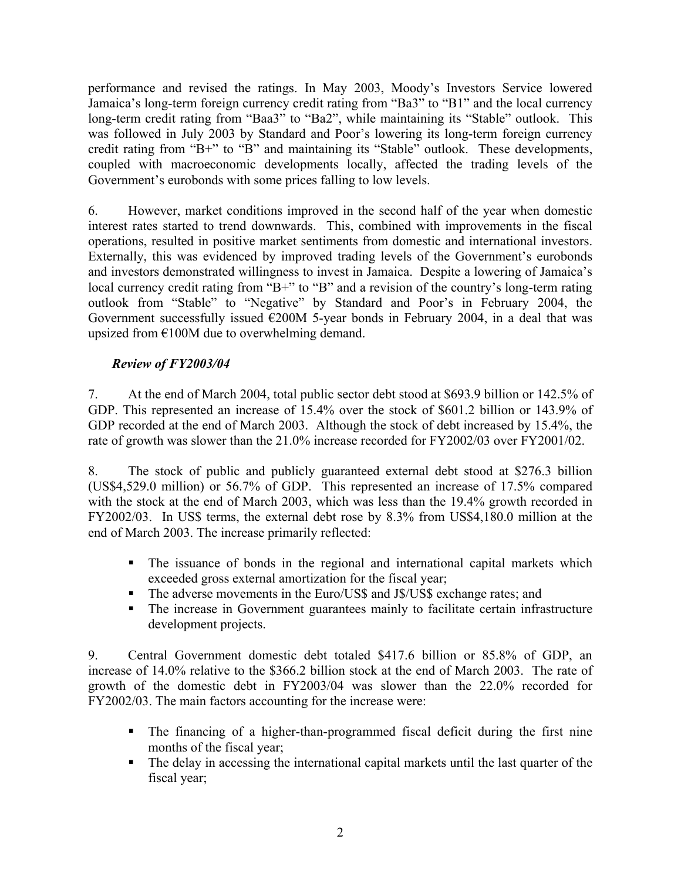performance and revised the ratings. In May 2003, Moody's Investors Service lowered Jamaica's long-term foreign currency credit rating from "Ba3" to "B1" and the local currency long-term credit rating from "Baa3" to "Ba2", while maintaining its "Stable" outlook. This was followed in July 2003 by Standard and Poor's lowering its long-term foreign currency credit rating from "B+" to "B" and maintaining its "Stable" outlook. These developments, coupled with macroeconomic developments locally, affected the trading levels of the Government's eurobonds with some prices falling to low levels.

6. However, market conditions improved in the second half of the year when domestic interest rates started to trend downwards. This, combined with improvements in the fiscal operations, resulted in positive market sentiments from domestic and international investors. Externally, this was evidenced by improved trading levels of the Government's eurobonds and investors demonstrated willingness to invest in Jamaica. Despite a lowering of Jamaica's local currency credit rating from "B+" to "B" and a revision of the country's long-term rating outlook from "Stable" to "Negative" by Standard and Poor's in February 2004, the Government successfully issued  $\epsilon$ 200M 5-year bonds in February 2004, in a deal that was upsized from €100M due to overwhelming demand.

## *Review of FY2003/04*

7. At the end of March 2004, total public sector debt stood at \$693.9 billion or 142.5% of GDP. This represented an increase of 15.4% over the stock of \$601.2 billion or 143.9% of GDP recorded at the end of March 2003. Although the stock of debt increased by 15.4%, the rate of growth was slower than the 21.0% increase recorded for FY2002/03 over FY2001/02.

8. The stock of public and publicly guaranteed external debt stood at \$276.3 billion (US\$4,529.0 million) or 56.7% of GDP. This represented an increase of 17.5% compared with the stock at the end of March 2003, which was less than the 19.4% growth recorded in FY2002/03. In US\$ terms, the external debt rose by 8.3% from US\$4,180.0 million at the end of March 2003. The increase primarily reflected:

- The issuance of bonds in the regional and international capital markets which exceeded gross external amortization for the fiscal year;
- The adverse movements in the Euro/US\$ and J\$/US\$ exchange rates; and
- The increase in Government guarantees mainly to facilitate certain infrastructure development projects.

9. Central Government domestic debt totaled \$417.6 billion or 85.8% of GDP, an increase of 14.0% relative to the \$366.2 billion stock at the end of March 2003. The rate of growth of the domestic debt in FY2003/04 was slower than the 22.0% recorded for FY2002/03. The main factors accounting for the increase were:

- The financing of a higher-than-programmed fiscal deficit during the first nine months of the fiscal year;
- The delay in accessing the international capital markets until the last quarter of the fiscal year;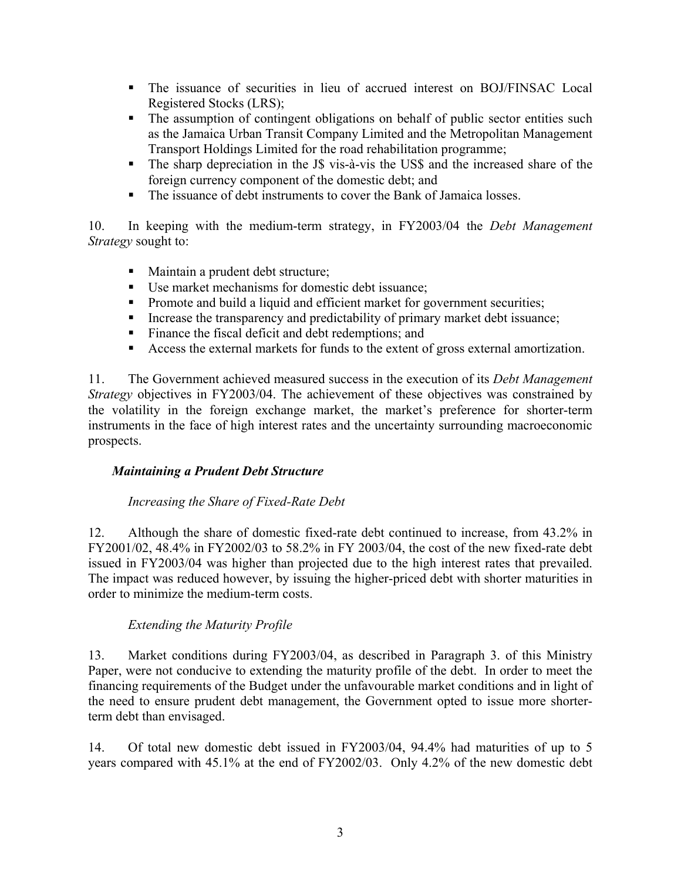- The issuance of securities in lieu of accrued interest on BOJ/FINSAC Local Registered Stocks (LRS);
- The assumption of contingent obligations on behalf of public sector entities such as the Jamaica Urban Transit Company Limited and the Metropolitan Management Transport Holdings Limited for the road rehabilitation programme;
- The sharp depreciation in the J\$ vis-à-vis the US\$ and the increased share of the foreign currency component of the domestic debt; and
- The issuance of debt instruments to cover the Bank of Jamaica losses.

10. In keeping with the medium-term strategy, in FY2003/04 the *Debt Management Strategy* sought to:

- Maintain a prudent debt structure;
- Use market mechanisms for domestic debt issuance:
- **Promote and build a liquid and efficient market for government securities;**
- Increase the transparency and predictability of primary market debt issuance;
- **Finance the fiscal deficit and debt redemptions; and**
- Access the external markets for funds to the extent of gross external amortization.

11. The Government achieved measured success in the execution of its *Debt Management Strategy* objectives in FY2003/04. The achievement of these objectives was constrained by the volatility in the foreign exchange market, the market's preference for shorter-term instruments in the face of high interest rates and the uncertainty surrounding macroeconomic prospects.

# *Maintaining a Prudent Debt Structure*

# *Increasing the Share of Fixed-Rate Debt*

12. Although the share of domestic fixed-rate debt continued to increase, from 43.2% in FY2001/02, 48.4% in FY2002/03 to 58.2% in FY 2003/04, the cost of the new fixed-rate debt issued in FY2003/04 was higher than projected due to the high interest rates that prevailed. The impact was reduced however, by issuing the higher-priced debt with shorter maturities in order to minimize the medium-term costs.

# *Extending the Maturity Profile*

13. Market conditions during FY2003/04, as described in Paragraph 3. of this Ministry Paper, were not conducive to extending the maturity profile of the debt. In order to meet the financing requirements of the Budget under the unfavourable market conditions and in light of the need to ensure prudent debt management, the Government opted to issue more shorterterm debt than envisaged.

14. Of total new domestic debt issued in FY2003/04, 94.4% had maturities of up to 5 years compared with 45.1% at the end of FY2002/03. Only 4.2% of the new domestic debt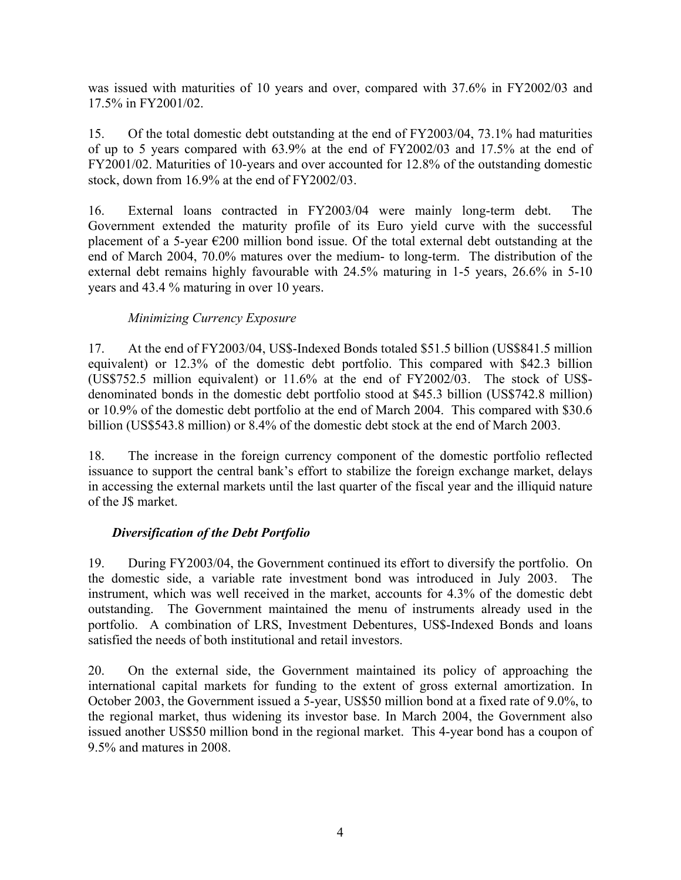was issued with maturities of 10 years and over, compared with 37.6% in FY2002/03 and 17.5% in FY2001/02.

15. Of the total domestic debt outstanding at the end of FY2003/04, 73.1% had maturities of up to 5 years compared with 63.9% at the end of FY2002/03 and 17.5% at the end of FY2001/02. Maturities of 10-years and over accounted for 12.8% of the outstanding domestic stock, down from 16.9% at the end of FY2002/03.

16. External loans contracted in FY2003/04 were mainly long-term debt. The Government extended the maturity profile of its Euro yield curve with the successful placement of a 5-year  $\epsilon$ 200 million bond issue. Of the total external debt outstanding at the end of March 2004, 70.0% matures over the medium- to long-term. The distribution of the external debt remains highly favourable with 24.5% maturing in 1-5 years, 26.6% in 5-10 years and 43.4 % maturing in over 10 years.

## *Minimizing Currency Exposure*

17. At the end of FY2003/04, US\$-Indexed Bonds totaled \$51.5 billion (US\$841.5 million equivalent) or 12.3% of the domestic debt portfolio. This compared with \$42.3 billion (US\$752.5 million equivalent) or 11.6% at the end of FY2002/03. The stock of US\$ denominated bonds in the domestic debt portfolio stood at \$45.3 billion (US\$742.8 million) or 10.9% of the domestic debt portfolio at the end of March 2004. This compared with \$30.6 billion (US\$543.8 million) or 8.4% of the domestic debt stock at the end of March 2003.

18. The increase in the foreign currency component of the domestic portfolio reflected issuance to support the central bank's effort to stabilize the foreign exchange market, delays in accessing the external markets until the last quarter of the fiscal year and the illiquid nature of the J\$ market.

## *Diversification of the Debt Portfolio*

19. During FY2003/04, the Government continued its effort to diversify the portfolio. On the domestic side, a variable rate investment bond was introduced in July 2003. The instrument, which was well received in the market, accounts for 4.3% of the domestic debt outstanding. The Government maintained the menu of instruments already used in the portfolio. A combination of LRS, Investment Debentures, US\$-Indexed Bonds and loans satisfied the needs of both institutional and retail investors.

20. On the external side, the Government maintained its policy of approaching the international capital markets for funding to the extent of gross external amortization. In October 2003, the Government issued a 5-year, US\$50 million bond at a fixed rate of 9.0%, to the regional market, thus widening its investor base. In March 2004, the Government also issued another US\$50 million bond in the regional market. This 4-year bond has a coupon of 9.5% and matures in 2008.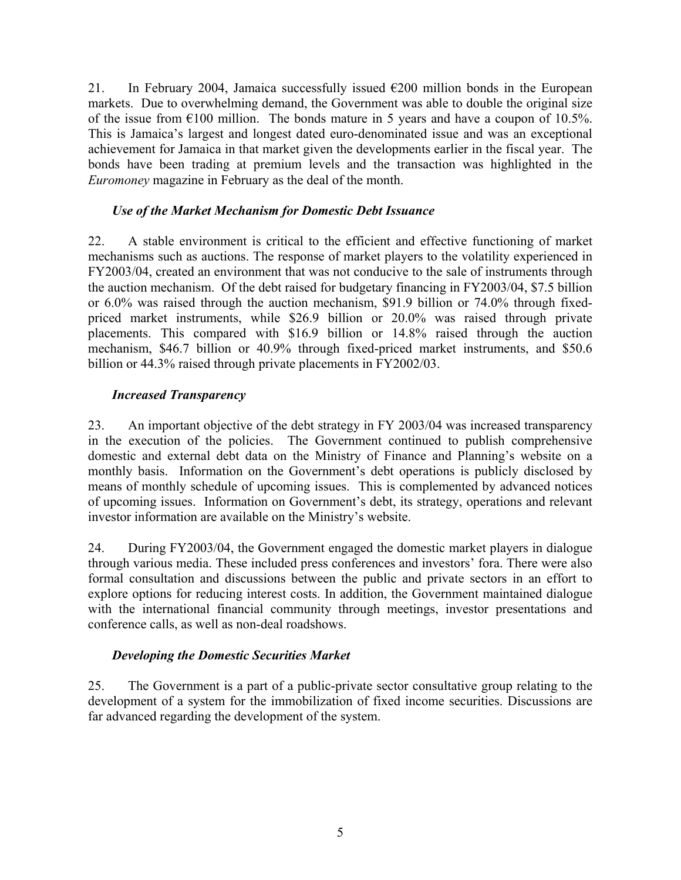21. In February 2004, Jamaica successfully issued  $\epsilon$ 200 million bonds in the European markets. Due to overwhelming demand, the Government was able to double the original size of the issue from  $\epsilon$ 100 million. The bonds mature in 5 years and have a coupon of 10.5%. This is Jamaica's largest and longest dated euro-denominated issue and was an exceptional achievement for Jamaica in that market given the developments earlier in the fiscal year. The bonds have been trading at premium levels and the transaction was highlighted in the *Euromoney* magazine in February as the deal of the month.

## *Use of the Market Mechanism for Domestic Debt Issuance*

22. A stable environment is critical to the efficient and effective functioning of market mechanisms such as auctions. The response of market players to the volatility experienced in FY2003/04, created an environment that was not conducive to the sale of instruments through the auction mechanism. Of the debt raised for budgetary financing in FY2003/04, \$7.5 billion or 6.0% was raised through the auction mechanism, \$91.9 billion or 74.0% through fixedpriced market instruments, while \$26.9 billion or 20.0% was raised through private placements. This compared with \$16.9 billion or 14.8% raised through the auction mechanism, \$46.7 billion or 40.9% through fixed-priced market instruments, and \$50.6 billion or 44.3% raised through private placements in FY2002/03.

## *Increased Transparency*

23. An important objective of the debt strategy in FY 2003/04 was increased transparency in the execution of the policies. The Government continued to publish comprehensive domestic and external debt data on the Ministry of Finance and Planning's website on a monthly basis. Information on the Government's debt operations is publicly disclosed by means of monthly schedule of upcoming issues. This is complemented by advanced notices of upcoming issues. Information on Government's debt, its strategy, operations and relevant investor information are available on the Ministry's website.

24. During FY2003/04, the Government engaged the domestic market players in dialogue through various media. These included press conferences and investors' fora. There were also formal consultation and discussions between the public and private sectors in an effort to explore options for reducing interest costs. In addition, the Government maintained dialogue with the international financial community through meetings, investor presentations and conference calls, as well as non-deal roadshows.

# *Developing the Domestic Securities Market*

25. The Government is a part of a public-private sector consultative group relating to the development of a system for the immobilization of fixed income securities. Discussions are far advanced regarding the development of the system.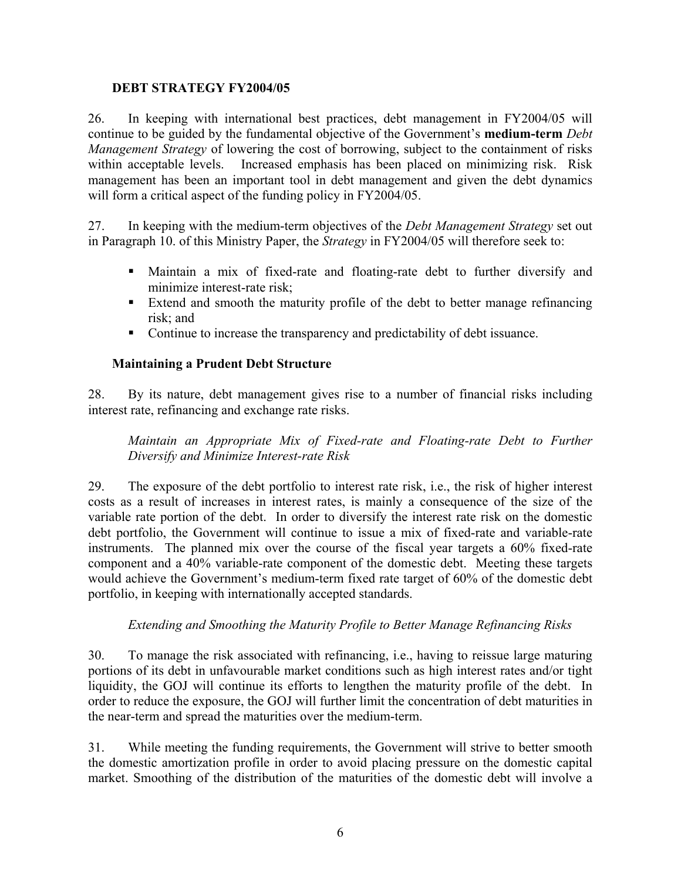#### **DEBT STRATEGY FY2004/05**

26. In keeping with international best practices, debt management in FY2004/05 will continue to be guided by the fundamental objective of the Government's **medium-term** *Debt Management Strategy* of lowering the cost of borrowing, subject to the containment of risks within acceptable levels. Increased emphasis has been placed on minimizing risk. Risk management has been an important tool in debt management and given the debt dynamics will form a critical aspect of the funding policy in FY2004/05.

27. In keeping with the medium-term objectives of the *Debt Management Strategy* set out in Paragraph 10. of this Ministry Paper, the *Strategy* in FY2004/05 will therefore seek to:

- Maintain a mix of fixed-rate and floating-rate debt to further diversify and minimize interest-rate risk;
- Extend and smooth the maturity profile of the debt to better manage refinancing risk; and
- Continue to increase the transparency and predictability of debt issuance.

## **Maintaining a Prudent Debt Structure**

28. By its nature, debt management gives rise to a number of financial risks including interest rate, refinancing and exchange rate risks.

*Maintain an Appropriate Mix of Fixed-rate and Floating-rate Debt to Further Diversify and Minimize Interest-rate Risk* 

29. The exposure of the debt portfolio to interest rate risk, i.e., the risk of higher interest costs as a result of increases in interest rates, is mainly a consequence of the size of the variable rate portion of the debt. In order to diversify the interest rate risk on the domestic debt portfolio, the Government will continue to issue a mix of fixed-rate and variable-rate instruments. The planned mix over the course of the fiscal year targets a 60% fixed-rate component and a 40% variable-rate component of the domestic debt. Meeting these targets would achieve the Government's medium-term fixed rate target of 60% of the domestic debt portfolio, in keeping with internationally accepted standards.

## *Extending and Smoothing the Maturity Profile to Better Manage Refinancing Risks*

30. To manage the risk associated with refinancing, i.e., having to reissue large maturing portions of its debt in unfavourable market conditions such as high interest rates and/or tight liquidity, the GOJ will continue its efforts to lengthen the maturity profile of the debt. In order to reduce the exposure, the GOJ will further limit the concentration of debt maturities in the near-term and spread the maturities over the medium-term.

31. While meeting the funding requirements, the Government will strive to better smooth the domestic amortization profile in order to avoid placing pressure on the domestic capital market. Smoothing of the distribution of the maturities of the domestic debt will involve a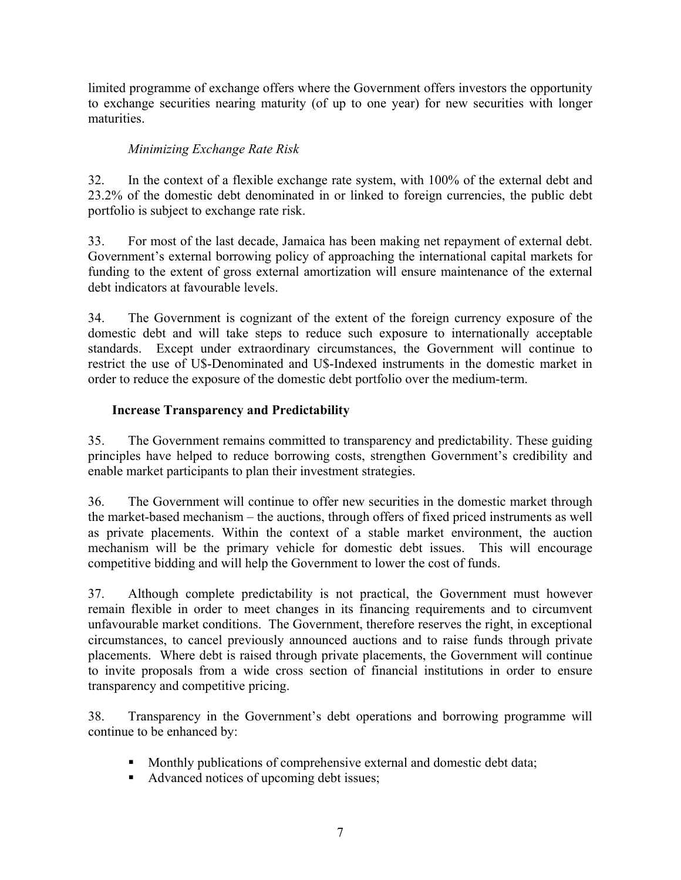limited programme of exchange offers where the Government offers investors the opportunity to exchange securities nearing maturity (of up to one year) for new securities with longer maturities.

# *Minimizing Exchange Rate Risk*

32. In the context of a flexible exchange rate system, with 100% of the external debt and 23.2% of the domestic debt denominated in or linked to foreign currencies, the public debt portfolio is subject to exchange rate risk.

33. For most of the last decade, Jamaica has been making net repayment of external debt. Government's external borrowing policy of approaching the international capital markets for funding to the extent of gross external amortization will ensure maintenance of the external debt indicators at favourable levels.

34. The Government is cognizant of the extent of the foreign currency exposure of the domestic debt and will take steps to reduce such exposure to internationally acceptable standards. Except under extraordinary circumstances, the Government will continue to restrict the use of U\$-Denominated and U\$-Indexed instruments in the domestic market in order to reduce the exposure of the domestic debt portfolio over the medium-term.

## **Increase Transparency and Predictability**

35. The Government remains committed to transparency and predictability. These guiding principles have helped to reduce borrowing costs, strengthen Government's credibility and enable market participants to plan their investment strategies.

36. The Government will continue to offer new securities in the domestic market through the market-based mechanism – the auctions, through offers of fixed priced instruments as well as private placements. Within the context of a stable market environment, the auction mechanism will be the primary vehicle for domestic debt issues. This will encourage competitive bidding and will help the Government to lower the cost of funds.

37. Although complete predictability is not practical, the Government must however remain flexible in order to meet changes in its financing requirements and to circumvent unfavourable market conditions. The Government, therefore reserves the right, in exceptional circumstances, to cancel previously announced auctions and to raise funds through private placements. Where debt is raised through private placements, the Government will continue to invite proposals from a wide cross section of financial institutions in order to ensure transparency and competitive pricing.

38. Transparency in the Government's debt operations and borrowing programme will continue to be enhanced by:

- Monthly publications of comprehensive external and domestic debt data;
- Advanced notices of upcoming debt issues;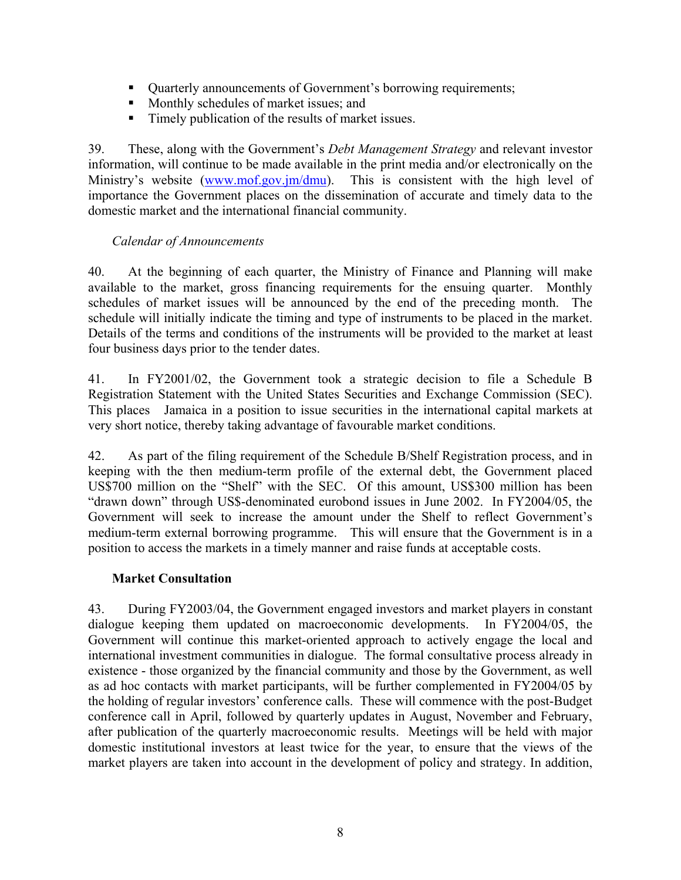- Quarterly announcements of Government's borrowing requirements;
- Monthly schedules of market issues; and
- Timely publication of the results of market issues.

39. These, along with the Government's *Debt Management Strategy* and relevant investor information, will continue to be made available in the print media and/or electronically on the Ministry's website [\(www.mof.gov.jm/dmu\)](http://www.mof.goov.jm/dmu). This is consistent with the high level of importance the Government places on the dissemination of accurate and timely data to the domestic market and the international financial community.

## *Calendar of Announcements*

40. At the beginning of each quarter, the Ministry of Finance and Planning will make available to the market, gross financing requirements for the ensuing quarter. Monthly schedules of market issues will be announced by the end of the preceding month. The schedule will initially indicate the timing and type of instruments to be placed in the market. Details of the terms and conditions of the instruments will be provided to the market at least four business days prior to the tender dates.

41. In FY2001/02, the Government took a strategic decision to file a Schedule B Registration Statement with the United States Securities and Exchange Commission (SEC). This places Jamaica in a position to issue securities in the international capital markets at very short notice, thereby taking advantage of favourable market conditions.

42. As part of the filing requirement of the Schedule B/Shelf Registration process, and in keeping with the then medium-term profile of the external debt, the Government placed US\$700 million on the "Shelf" with the SEC. Of this amount, US\$300 million has been "drawn down" through US\$-denominated eurobond issues in June 2002. In FY2004/05, the Government will seek to increase the amount under the Shelf to reflect Government's medium-term external borrowing programme. This will ensure that the Government is in a position to access the markets in a timely manner and raise funds at acceptable costs.

## **Market Consultation**

43. During FY2003/04, the Government engaged investors and market players in constant dialogue keeping them updated on macroeconomic developments. In FY2004/05, the Government will continue this market-oriented approach to actively engage the local and international investment communities in dialogue. The formal consultative process already in existence - those organized by the financial community and those by the Government, as well as ad hoc contacts with market participants, will be further complemented in FY2004/05 by the holding of regular investors' conference calls. These will commence with the post-Budget conference call in April, followed by quarterly updates in August, November and February, after publication of the quarterly macroeconomic results. Meetings will be held with major domestic institutional investors at least twice for the year, to ensure that the views of the market players are taken into account in the development of policy and strategy. In addition,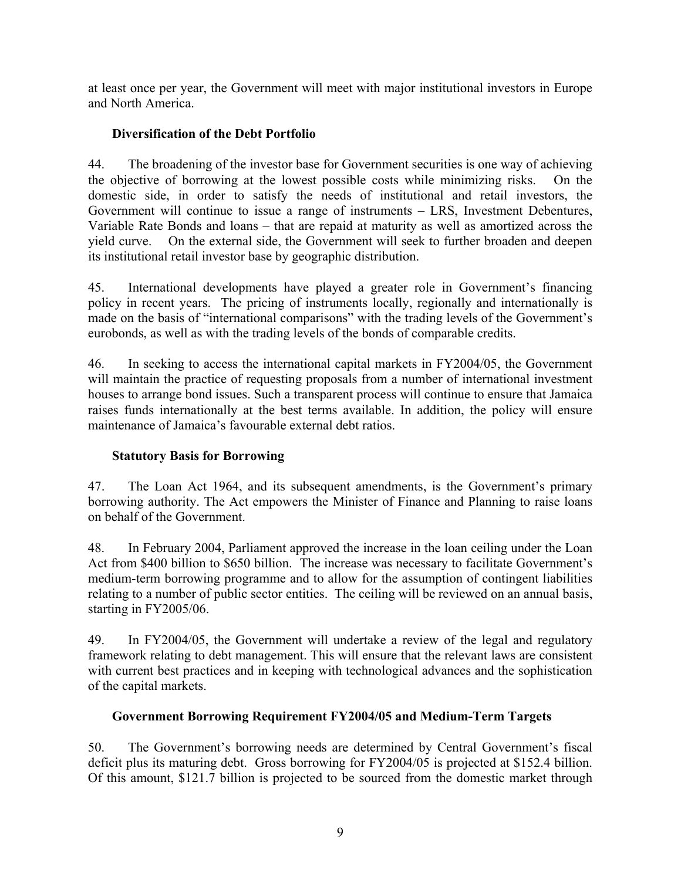at least once per year, the Government will meet with major institutional investors in Europe and North America.

# **Diversification of the Debt Portfolio**

44. The broadening of the investor base for Government securities is one way of achieving the objective of borrowing at the lowest possible costs while minimizing risks. On the domestic side, in order to satisfy the needs of institutional and retail investors, the Government will continue to issue a range of instruments – LRS, Investment Debentures, Variable Rate Bonds and loans – that are repaid at maturity as well as amortized across the yield curve. On the external side, the Government will seek to further broaden and deepen its institutional retail investor base by geographic distribution.

45. International developments have played a greater role in Government's financing policy in recent years. The pricing of instruments locally, regionally and internationally is made on the basis of "international comparisons" with the trading levels of the Government's eurobonds, as well as with the trading levels of the bonds of comparable credits.

46. In seeking to access the international capital markets in FY2004/05, the Government will maintain the practice of requesting proposals from a number of international investment houses to arrange bond issues. Such a transparent process will continue to ensure that Jamaica raises funds internationally at the best terms available. In addition, the policy will ensure maintenance of Jamaica's favourable external debt ratios.

## **Statutory Basis for Borrowing**

47. The Loan Act 1964, and its subsequent amendments, is the Government's primary borrowing authority. The Act empowers the Minister of Finance and Planning to raise loans on behalf of the Government.

48. In February 2004, Parliament approved the increase in the loan ceiling under the Loan Act from \$400 billion to \$650 billion. The increase was necessary to facilitate Government's medium-term borrowing programme and to allow for the assumption of contingent liabilities relating to a number of public sector entities. The ceiling will be reviewed on an annual basis, starting in FY2005/06.

49. In FY2004/05, the Government will undertake a review of the legal and regulatory framework relating to debt management. This will ensure that the relevant laws are consistent with current best practices and in keeping with technological advances and the sophistication of the capital markets.

## **Government Borrowing Requirement FY2004/05 and Medium-Term Targets**

50. The Government's borrowing needs are determined by Central Government's fiscal deficit plus its maturing debt. Gross borrowing for FY2004/05 is projected at \$152.4 billion. Of this amount, \$121.7 billion is projected to be sourced from the domestic market through